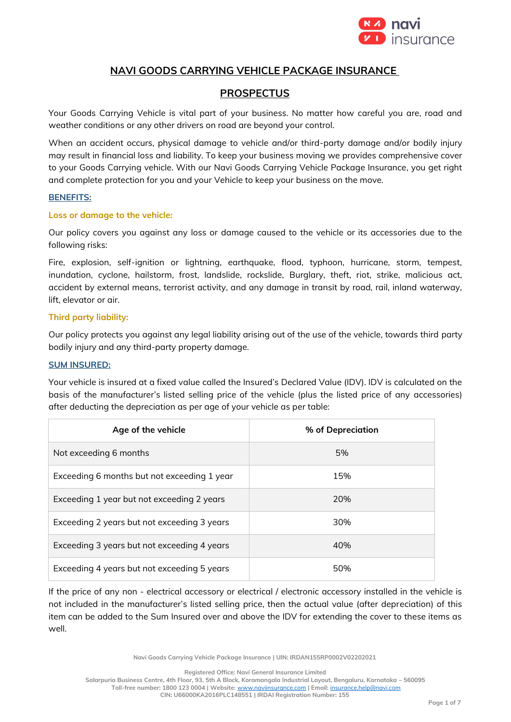

# **NAVI GOODS CARRYING VEHICLE PACKAGE INSURANCE**

# **PROSPECTUS**

Your Goods Carrying Vehicle is vital part of your business. No matter how careful you are, road and weather conditions or any other drivers on road are beyond your control.

When an accident occurs, physical damage to vehicle and/or third-party damage and/or bodily injury may result in financial loss and liability. To keep your business moving we provides comprehensive cover to your Goods Carrying vehicle. With our Navi Goods Carrying Vehicle Package Insurance, you get right and complete protection for you and your Vehicle to keep your business on the move.

#### **BENEFITS:**

#### **Loss or damage to the vehicle:**

Our policy covers you against any loss or damage caused to the vehicle or its accessories due to the following risks:

Fire, explosion, self-ignition or lightning, earthquake, flood, typhoon, hurricane, storm, tempest, inundation, cyclone, hailstorm, frost, landslide, rockslide, Burglary, theft, riot, strike, malicious act, accident by external means, terrorist activity, and any damage in transit by road, rail, inland waterway, lift, elevator or air.

# **Third party liability:**

Our policy protects you against any legal liability arising out of the use of the vehicle, towards third party bodily injury and any third-party property damage.

# **SUM INSURED:**

Your vehicle is insured at a fixed value called the Insured's Declared Value (IDV). IDV is calculated on the basis of the manufacturer's listed selling price of the vehicle (plus the listed price of any accessories) after deducting the depreciation as per age of your vehicle as per table:

| Age of the vehicle                          | % of Depreciation |
|---------------------------------------------|-------------------|
| Not exceeding 6 months                      | 5%                |
| Exceeding 6 months but not exceeding 1 year | 15%               |
| Exceeding 1 year but not exceeding 2 years  | 20%               |
| Exceeding 2 years but not exceeding 3 years | 30%               |
| Exceeding 3 years but not exceeding 4 years | 40%               |
| Exceeding 4 years but not exceeding 5 years | 50%               |

If the price of any non - electrical accessory or electrical / electronic accessory installed in the vehicle is not included in the manufacturer's listed selling price, then the actual value (after depreciation) of this item can be added to the Sum Insured over and above the IDV for extending the cover to these items as well.

**Navi Goods Carrying Vehicle Package Insurance | UIN: IRDAN155RP0002V02202021**

**Registered Office: Navi General Insurance Limited**

**Salarpuria Business Centre, 4th Floor, 93, 5th A Block, Koramangala Industrial Layout, Bengaluru, Karnataka – 560095 Toll-free number: 1800 123 0004 | Website:** [www.naviinsurance.com](http://www.naviinsurance.com/) **| Email:** [insurance.help@navi.com](mailto:insurance.help@navi.com)

**CIN: U66000KA2016PLC148551 | IRDAI Registration Number: 155**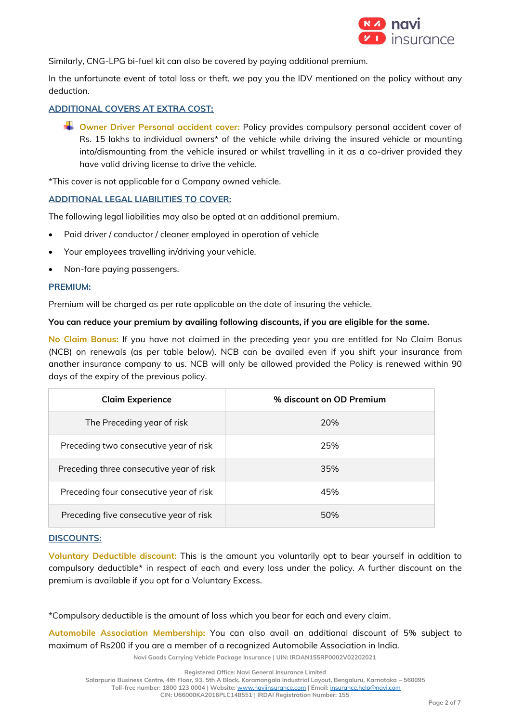

Similarly, CNG-LPG bi-fuel kit can also be covered by paying additional premium.

In the unfortunate event of total loss or theft, we pay you the IDV mentioned on the policy without any deduction.

# **ADDITIONAL COVERS AT EXTRA COST:**

**EXTED** Owner Driver Personal accident cover: Policy provides compulsory personal accident cover of Rs. 15 lakhs to individual owners\* of the vehicle while driving the insured vehicle or mounting into/dismounting from the vehicle insured or whilst travelling in it as a co-driver provided they have valid driving license to drive the vehicle.

\*This cover is not applicable for a Company owned vehicle.

#### **ADDITIONAL LEGAL LIABILITIES TO COVER:**

The following legal liabilities may also be opted at an additional premium.

- Paid driver / conductor / cleaner employed in operation of vehicle
- Your employees travelling in/driving your vehicle.
- Non-fare paying passengers.

#### **PREMIUM:**

Premium will be charged as per rate applicable on the date of insuring the vehicle.

#### **You can reduce your premium by availing following discounts, if you are eligible for the same.**

**No Claim Bonus:** If you have not claimed in the preceding year you are entitled for No Claim Bonus (NCB) on renewals (as per table below). NCB can be availed even if you shift your insurance from another insurance company to us. NCB will only be allowed provided the Policy is renewed within 90 days of the expiry of the previous policy.

| <b>Claim Experience</b>                  | % discount on OD Premium |
|------------------------------------------|--------------------------|
| The Preceding year of risk               | 20%                      |
| Preceding two consecutive year of risk   | 25%                      |
| Preceding three consecutive year of risk | 35%                      |
| Preceding four consecutive year of risk  | 45%                      |
| Preceding five consecutive year of risk  | 50%                      |

#### **DISCOUNTS:**

**Voluntary Deductible discount:** This is the amount you voluntarily opt to bear yourself in addition to compulsory deductible\* in respect of each and every loss under the policy. A further discount on the premium is available if you opt for a Voluntary Excess.

\*Compulsory deductible is the amount of loss which you bear for each and every claim.

**Automobile Association Membership:** You can also avail an additional discount of 5% subject to maximum of Rs200 if you are a member of a recognized Automobile Association in India.

**Navi Goods Carrying Vehicle Package Insurance | UIN: IRDAN155RP0002V02202021**

**Salarpuria Business Centre, 4th Floor, 93, 5th A Block, Koramangala Industrial Layout, Bengaluru, Karnataka – 560095**

**Toll-free number: 1800 123 0004 | Website:** [www.naviinsurance.com](http://www.naviinsurance.com/) **| Email:** [insurance.help@navi.com](mailto:insurance.help@navi.com)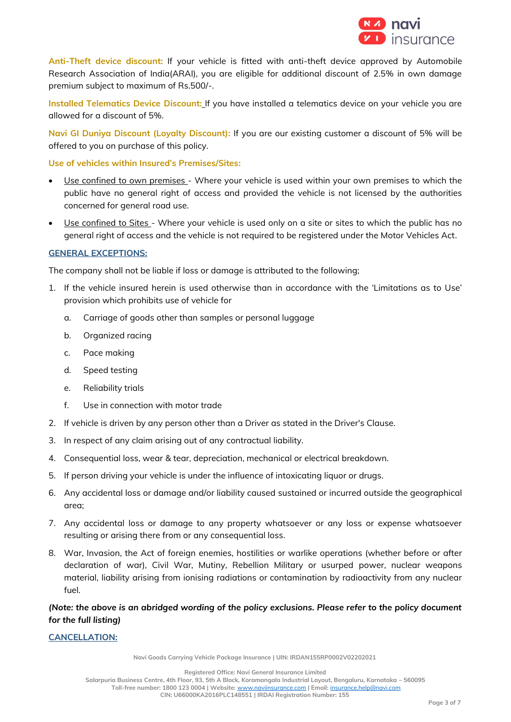

**Anti-Theft device discount:** If your vehicle is fitted with anti-theft device approved by Automobile Research Association of India(ARAI), you are eligible for additional discount of 2.5% in own damage premium subject to maximum of Rs.500/-.

**Installed Telematics Device Discount:** If you have installed a telematics device on your vehicle you are allowed for a discount of 5%.

**Navi GI Duniya Discount (Loyalty Discount):** If you are our existing customer a discount of 5% will be offered to you on purchase of this policy.

#### **Use of vehicles within Insured's Premises/Sites:**

- Use confined to own premises Where your vehicle is used within your own premises to which the public have no general right of access and provided the vehicle is not licensed by the authorities concerned for general road use.
- Use confined to Sites Where your vehicle is used only on a site or sites to which the public has no general right of access and the vehicle is not required to be registered under the Motor Vehicles Act.

#### **GENERAL EXCEPTIONS:**

The company shall not be liable if loss or damage is attributed to the following;

- 1. If the vehicle insured herein is used otherwise than in accordance with the 'Limitations as to Use' provision which prohibits use of vehicle for
	- a. Carriage of goods other than samples or personal luggage
	- b. Organized racing
	- c. Pace making
	- d. Speed testing
	- e. Reliability trials
	- f. Use in connection with motor trade
- 2. If vehicle is driven by any person other than a Driver as stated in the Driver's Clause.
- 3. In respect of any claim arising out of any contractual liability.
- 4. Consequential loss, wear & tear, depreciation, mechanical or electrical breakdown.
- 5. If person driving your vehicle is under the influence of intoxicating liquor or drugs.
- 6. Any accidental loss or damage and/or liability caused sustained or incurred outside the geographical area;
- 7. Any accidental loss or damage to any property whatsoever or any loss or expense whatsoever resulting or arising there from or any consequential loss.
- 8. War, Invasion, the Act of foreign enemies, hostilities or warlike operations (whether before or after declaration of war), Civil War, Mutiny, Rebellion Military or usurped power, nuclear weapons material, liability arising from ionising radiations or contamination by radioactivity from any nuclear fuel.

*(Note: the above is an abridged wording of the policy exclusions. Please refer to the policy document for the full listing)*

# **CANCELLATION:**

**Navi Goods Carrying Vehicle Package Insurance | UIN: IRDAN155RP0002V02202021**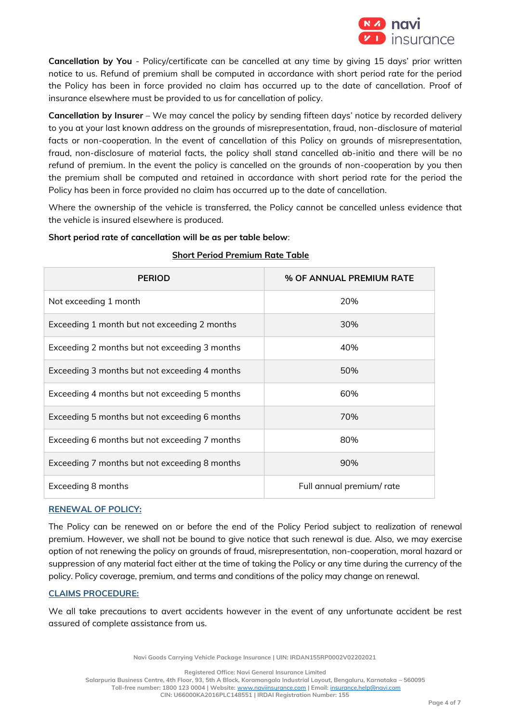

**Cancellation by You** - Policy/certificate can be cancelled at any time by giving 15 days' prior written notice to us. Refund of premium shall be computed in accordance with short period rate for the period the Policy has been in force provided no claim has occurred up to the date of cancellation. Proof of insurance elsewhere must be provided to us for cancellation of policy.

**Cancellation by Insurer** – We may cancel the policy by sending fifteen days' notice by recorded delivery to you at your last known address on the grounds of misrepresentation, fraud, non-disclosure of material facts or non-cooperation. In the event of cancellation of this Policy on grounds of misrepresentation, fraud, non-disclosure of material facts, the policy shall stand cancelled ab-initio and there will be no refund of premium. In the event the policy is cancelled on the grounds of non-cooperation by you then the premium shall be computed and retained in accordance with short period rate for the period the Policy has been in force provided no claim has occurred up to the date of cancellation.

Where the ownership of the vehicle is transferred, the Policy cannot be cancelled unless evidence that the vehicle is insured elsewhere is produced.

# **Short period rate of cancellation will be as per table below**:

| <b>PERIOD</b>                                 | % OF ANNUAL PREMIUM RATE  |
|-----------------------------------------------|---------------------------|
| Not exceeding 1 month                         | 20%                       |
| Exceeding 1 month but not exceeding 2 months  | 30%                       |
| Exceeding 2 months but not exceeding 3 months | 40%                       |
| Exceeding 3 months but not exceeding 4 months | 50%                       |
| Exceeding 4 months but not exceeding 5 months | 60%                       |
| Exceeding 5 months but not exceeding 6 months | 70%                       |
| Exceeding 6 months but not exceeding 7 months | 80%                       |
| Exceeding 7 months but not exceeding 8 months | 90%                       |
| Exceeding 8 months                            | Full annual premium/ rate |

# **Short Period Premium Rate Table**

# **RENEWAL OF POLICY:**

The Policy can be renewed on or before the end of the Policy Period subject to realization of renewal premium. However, we shall not be bound to give notice that such renewal is due. Also, we may exercise option of not renewing the policy on grounds of fraud, misrepresentation, non-cooperation, moral hazard or suppression of any material fact either at the time of taking the Policy or any time during the currency of the policy. Policy coverage, premium, and terms and conditions of the policy may change on renewal.

# **CLAIMS PROCEDURE:**

We all take precautions to avert accidents however in the event of any unfortunate accident be rest assured of complete assistance from us.

**Navi Goods Carrying Vehicle Package Insurance | UIN: IRDAN155RP0002V02202021**

**Registered Office: Navi General Insurance Limited Salarpuria Business Centre, 4th Floor, 93, 5th A Block, Koramangala Industrial Layout, Bengaluru, Karnataka – 560095 Toll-free number: 1800 123 0004 | Website:** [www.naviinsurance.com](http://www.naviinsurance.com/) **| Email:** [insurance.help@navi.com](mailto:insurance.help@navi.com) **CIN: U66000KA2016PLC148551 | IRDAI Registration Number: 155**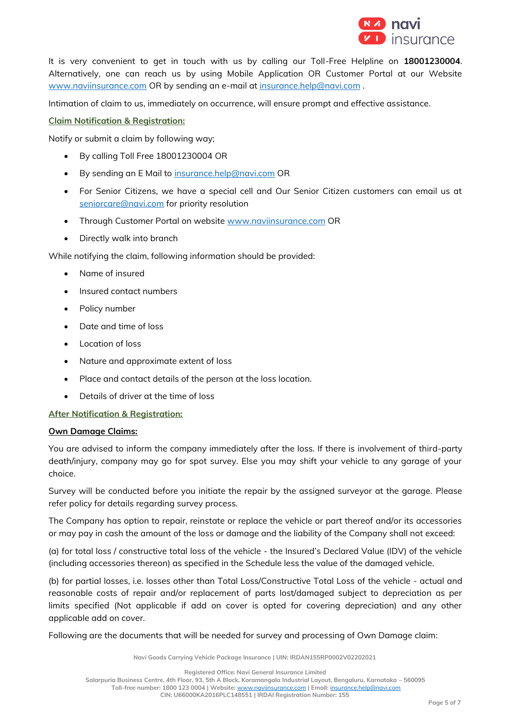

It is very convenient to get in touch with us by calling our Toll-Free Helpline on **18001230004**. Alternatively, one can reach us by using Mobile Application OR Customer Portal at our Website [www.naviinsurance.com](http://www.naviinsurance.com/) OR by sending an e-mail at [insurance.help@navi.com](mailto:insurance.help@navi.com) .

Intimation of claim to us, immediately on occurrence, will ensure prompt and effective assistance.

# **Claim Notification & Registration:**

Notify or submit a claim by following way;

- By calling Toll Free 18001230004 OR
- By sending an E Mail to [insurance.help@navi.com](mailto:insurance.help@navi.com) OR
- For Senior Citizens, we have a special cell and Our Senior Citizen customers can email us at [seniorcare@navi.com](mailto:seniorcare@navi.com) for priority resolution
- Through Customer Portal on website [www.naviinsurance.com](http://www.naviinsurance.com/) OR
- Directly walk into branch

While notifying the claim, following information should be provided:

- Name of insured
- Insured contact numbers
- Policy number
- Date and time of loss
- Location of loss
- Nature and approximate extent of loss
- Place and contact details of the person at the loss location.
- Details of driver at the time of loss

**After Notification & Registration:**

# **Own Damage Claims:**

You are advised to inform the company immediately after the loss. If there is involvement of third-party death/injury, company may go for spot survey. Else you may shift your vehicle to any garage of your choice.

Survey will be conducted before you initiate the repair by the assigned surveyor at the garage. Please refer policy for details regarding survey process.

The Company has option to repair, reinstate or replace the vehicle or part thereof and/or its accessories or may pay in cash the amount of the loss or damage and the liability of the Company shall not exceed:

(a) for total loss / constructive total loss of the vehicle - the Insured's Declared Value (IDV) of the vehicle (including accessories thereon) as specified in the Schedule less the value of the damaged vehicle.

(b) for partial losses, i.e. losses other than Total Loss/Constructive Total Loss of the vehicle - actual and reasonable costs of repair and/or replacement of parts lost/damaged subject to depreciation as per limits specified (Not applicable if add on cover is opted for covering depreciation) and any other applicable add on cover.

Following are the documents that will be needed for survey and processing of Own Damage claim:

**Navi Goods Carrying Vehicle Package Insurance | UIN: IRDAN155RP0002V02202021**

**Registered Office: Navi General Insurance Limited Salarpuria Business Centre, 4th Floor, 93, 5th A Block, Koramangala Industrial Layout, Bengaluru, Karnataka – 560095 Toll-free number: 1800 123 0004 | Website:** [www.naviinsurance.com](http://www.naviinsurance.com/) **| Email:** [insurance.help@navi.com](mailto:insurance.help@navi.com) **CIN: U66000KA2016PLC148551 | IRDAI Registration Number: 155**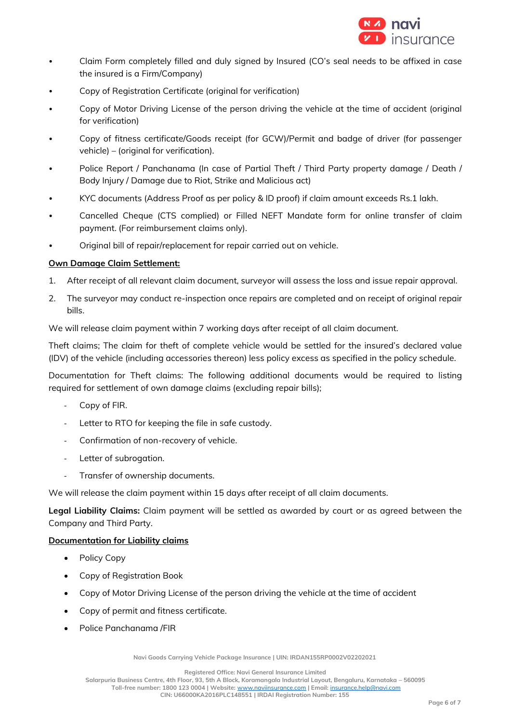

- Claim Form completely filled and duly signed by Insured (CO's seal needs to be affixed in case the insured is a Firm/Company)
- Copy of Registration Certificate (original for verification)
- Copy of Motor Driving License of the person driving the vehicle at the time of accident (original for verification)
- Copy of fitness certificate/Goods receipt (for GCW)/Permit and badge of driver (for passenger vehicle) – (original for verification).
- Police Report / Panchanama (In case of Partial Theft / Third Party property damage / Death / Body Injury / Damage due to Riot, Strike and Malicious act)
- KYC documents (Address Proof as per policy & ID proof) if claim amount exceeds Rs.1 lakh.
- Cancelled Cheque (CTS complied) or Filled NEFT Mandate form for online transfer of claim payment. (For reimbursement claims only).
- Original bill of repair/replacement for repair carried out on vehicle.

#### **Own Damage Claim Settlement:**

- 1. After receipt of all relevant claim document, surveyor will assess the loss and issue repair approval.
- 2. The surveyor may conduct re-inspection once repairs are completed and on receipt of original repair bills.

We will release claim payment within 7 working days after receipt of all claim document.

Theft claims; The claim for theft of complete vehicle would be settled for the insured's declared value (IDV) of the vehicle (including accessories thereon) less policy excess as specified in the policy schedule.

Documentation for Theft claims: The following additional documents would be required to listing required for settlement of own damage claims (excluding repair bills);

- Copy of FIR.
- Letter to RTO for keeping the file in safe custody.
- Confirmation of non-recovery of vehicle.
- Letter of subrogation.
- Transfer of ownership documents.

We will release the claim payment within 15 days after receipt of all claim documents.

**Legal Liability Claims:** Claim payment will be settled as awarded by court or as agreed between the Company and Third Party.

# **Documentation for Liability claims**

- Policy Copy
- Copy of Registration Book
- Copy of Motor Driving License of the person driving the vehicle at the time of accident
- Copy of permit and fitness certificate.
- Police Panchanama /FIR

**Navi Goods Carrying Vehicle Package Insurance | UIN: IRDAN155RP0002V02202021**

**Registered Office: Navi General Insurance Limited**

**Salarpuria Business Centre, 4th Floor, 93, 5th A Block, Koramangala Industrial Layout, Bengaluru, Karnataka – 560095**

**Toll-free number: 1800 123 0004 | Website:** [www.naviinsurance.com](http://www.naviinsurance.com/) **| Email:** [insurance.help@navi.com](mailto:insurance.help@navi.com)